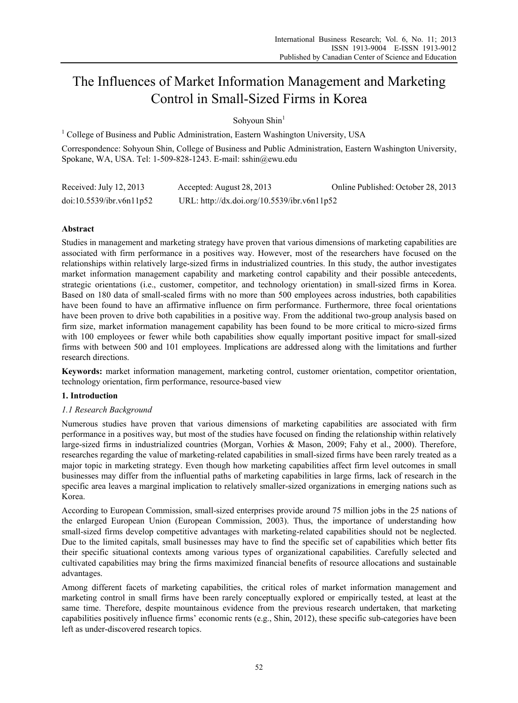# The Influences of Market Information Management and Marketing Control in Small-Sized Firms in Korea

Sohyoun Shin<sup>1</sup>

<sup>1</sup> College of Business and Public Administration, Eastern Washington University, USA

Correspondence: Sohyoun Shin, College of Business and Public Administration, Eastern Washington University, Spokane, WA, USA. Tel: 1-509-828-1243. E-mail: sshin@ewu.edu

| Received: July 12, 2013  | Accepted: August 28, 2013                   | Online Published: October 28, 2013 |
|--------------------------|---------------------------------------------|------------------------------------|
| doi:10.5539/ibr.v6n11p52 | URL: http://dx.doi.org/10.5539/ibr.v6n11p52 |                                    |

# **Abstract**

Studies in management and marketing strategy have proven that various dimensions of marketing capabilities are associated with firm performance in a positives way. However, most of the researchers have focused on the relationships within relatively large-sized firms in industrialized countries. In this study, the author investigates market information management capability and marketing control capability and their possible antecedents, strategic orientations (i.e., customer, competitor, and technology orientation) in small-sized firms in Korea. Based on 180 data of small-scaled firms with no more than 500 employees across industries, both capabilities have been found to have an affirmative influence on firm performance. Furthermore, three focal orientations have been proven to drive both capabilities in a positive way. From the additional two-group analysis based on firm size, market information management capability has been found to be more critical to micro-sized firms with 100 employees or fewer while both capabilities show equally important positive impact for small-sized firms with between 500 and 101 employees. Implications are addressed along with the limitations and further research directions.

**Keywords:** market information management, marketing control, customer orientation, competitor orientation, technology orientation, firm performance, resource-based view

# **1. Introduction**

# *1.1 Research Background*

Numerous studies have proven that various dimensions of marketing capabilities are associated with firm performance in a positives way, but most of the studies have focused on finding the relationship within relatively large-sized firms in industrialized countries (Morgan, Vorhies & Mason, 2009; Fahy et al., 2000). Therefore, researches regarding the value of marketing-related capabilities in small-sized firms have been rarely treated as a major topic in marketing strategy. Even though how marketing capabilities affect firm level outcomes in small businesses may differ from the influential paths of marketing capabilities in large firms, lack of research in the specific area leaves a marginal implication to relatively smaller-sized organizations in emerging nations such as Korea.

According to European Commission, small-sized enterprises provide around 75 million jobs in the 25 nations of the enlarged European Union (European Commission, 2003). Thus, the importance of understanding how small-sized firms develop competitive advantages with marketing-related capabilities should not be neglected. Due to the limited capitals, small businesses may have to find the specific set of capabilities which better fits their specific situational contexts among various types of organizational capabilities. Carefully selected and cultivated capabilities may bring the firms maximized financial benefits of resource allocations and sustainable advantages.

Among different facets of marketing capabilities, the critical roles of market information management and marketing control in small firms have been rarely conceptually explored or empirically tested, at least at the same time. Therefore, despite mountainous evidence from the previous research undertaken, that marketing capabilities positively influence firms' economic rents (e.g., Shin, 2012), these specific sub-categories have been left as under-discovered research topics.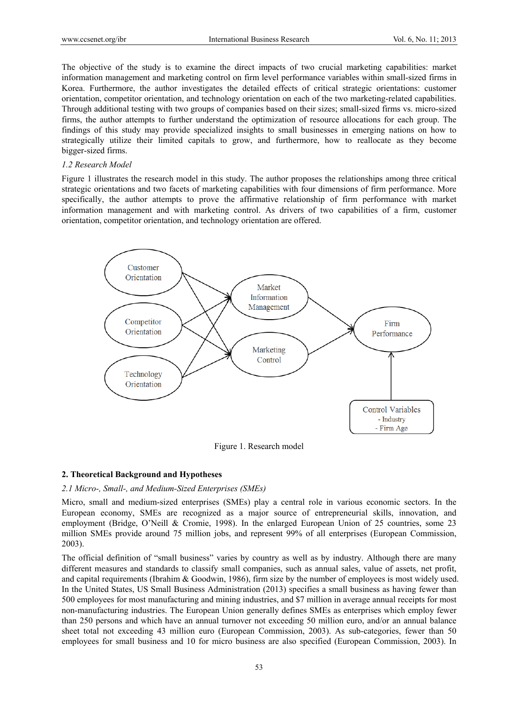The objective of the study is to examine the direct impacts of two crucial marketing capabilities: market information management and marketing control on firm level performance variables within small-sized firms in Korea. Furthermore, the author investigates the detailed effects of critical strategic orientations: customer orientation, competitor orientation, and technology orientation on each of the two marketing-related capabilities. Through additional testing with two groups of companies based on their sizes; small-sized firms vs. micro-sized firms, the author attempts to further understand the optimization of resource allocations for each group. The findings of this study may provide specialized insights to small businesses in emerging nations on how to strategically utilize their limited capitals to grow, and furthermore, how to reallocate as they become bigger-sized firms.

#### *1.2 Research Model*

Figure 1 illustrates the research model in this study. The author proposes the relationships among three critical strategic orientations and two facets of marketing capabilities with four dimensions of firm performance. More specifically, the author attempts to prove the affirmative relationship of firm performance with market information management and with marketing control. As drivers of two capabilities of a firm, customer orientation, competitor orientation, and technology orientation are offered.



Figure 1. Research model

## **2. Theoretical Background and Hypotheses**

# *2.1 Micro-, Small-, and Medium-Sized Enterprises (SMEs)*

Micro, small and medium-sized enterprises (SMEs) play a central role in various economic sectors. In the European economy, SMEs are recognized as a major source of entrepreneurial skills, innovation, and employment (Bridge, O'Neill & Cromie, 1998). In the enlarged European Union of 25 countries, some 23 million SMEs provide around 75 million jobs, and represent 99% of all enterprises (European Commission, 2003).

The official definition of "small business" varies by country as well as by industry. Although there are many different measures and standards to classify small companies, such as annual sales, value of assets, net profit, and capital requirements (Ibrahim & Goodwin, 1986), firm size by the number of employees is most widely used. In the United States, US Small Business Administration (2013) specifies a small business as having fewer than 500 employees for most manufacturing and mining industries, and \$7 million in average annual receipts for most non-manufacturing industries. The European Union generally defines SMEs as enterprises which employ fewer than 250 persons and which have an annual turnover not exceeding 50 million euro, and/or an annual balance sheet total not exceeding 43 million euro (European Commission, 2003). As sub-categories, fewer than 50 employees for small business and 10 for micro business are also specified (European Commission, 2003). In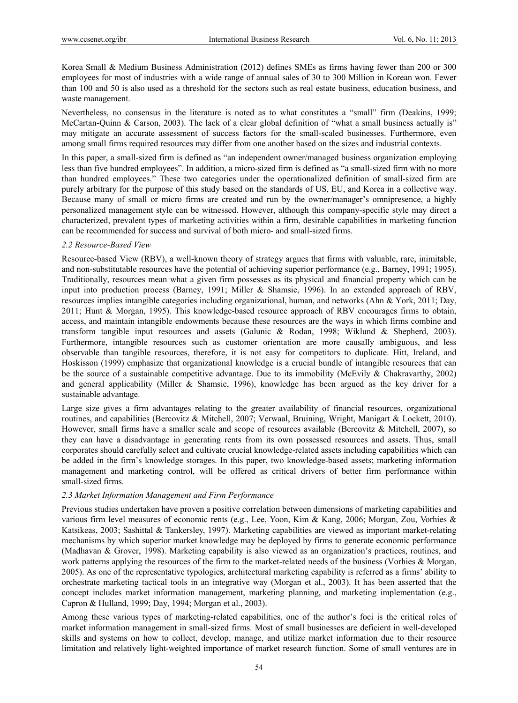Korea Small & Medium Business Administration (2012) defines SMEs as firms having fewer than 200 or 300 employees for most of industries with a wide range of annual sales of 30 to 300 Million in Korean won. Fewer than 100 and 50 is also used as a threshold for the sectors such as real estate business, education business, and waste management.

Nevertheless, no consensus in the literature is noted as to what constitutes a "small" firm (Deakins, 1999; McCartan-Quinn & Carson, 2003). The lack of a clear global definition of "what a small business actually is" may mitigate an accurate assessment of success factors for the small-scaled businesses. Furthermore, even among small firms required resources may differ from one another based on the sizes and industrial contexts.

In this paper, a small-sized firm is defined as "an independent owner/managed business organization employing less than five hundred employees". In addition, a micro-sized firm is defined as "a small-sized firm with no more than hundred employees." These two categories under the operationalized definition of small-sized firm are purely arbitrary for the purpose of this study based on the standards of US, EU, and Korea in a collective way. Because many of small or micro firms are created and run by the owner/manager's omnipresence, a highly personalized management style can be witnessed. However, although this company-specific style may direct a characterized, prevalent types of marketing activities within a firm, desirable capabilities in marketing function can be recommended for success and survival of both micro- and small-sized firms.

## *2.2 Resource-Based View*

Resource-based View (RBV), a well-known theory of strategy argues that firms with valuable, rare, inimitable, and non-substitutable resources have the potential of achieving superior performance (e.g., Barney, 1991; 1995). Traditionally, resources mean what a given firm possesses as its physical and financial property which can be input into production process (Barney, 1991; Miller & Shamsie, 1996). In an extended approach of RBV, resources implies intangible categories including organizational, human, and networks (Ahn & York, 2011; Day, 2011; Hunt & Morgan, 1995). This knowledge-based resource approach of RBV encourages firms to obtain, access, and maintain intangible endowments because these resources are the ways in which firms combine and transform tangible input resources and assets (Galunic & Rodan, 1998; Wiklund & Shepherd, 2003). Furthermore, intangible resources such as customer orientation are more causally ambiguous, and less observable than tangible resources, therefore, it is not easy for competitors to duplicate. Hitt, Ireland, and Hoskisson (1999) emphasize that organizational knowledge is a crucial bundle of intangible resources that can be the source of a sustainable competitive advantage. Due to its immobility (McEvily & Chakravarthy, 2002) and general applicability (Miller & Shamsie, 1996), knowledge has been argued as the key driver for a sustainable advantage.

Large size gives a firm advantages relating to the greater availability of financial resources, organizational routines, and capabilities (Bercovitz & Mitchell, 2007; Verwaal, Bruining, Wright, Manigart & Lockett, 2010). However, small firms have a smaller scale and scope of resources available (Bercovitz & Mitchell, 2007), so they can have a disadvantage in generating rents from its own possessed resources and assets. Thus, small corporates should carefully select and cultivate crucial knowledge-related assets including capabilities which can be added in the firm's knowledge storages. In this paper, two knowledge-based assets; marketing information management and marketing control, will be offered as critical drivers of better firm performance within small-sized firms.

## *2.3 Market Information Management and Firm Performance*

Previous studies undertaken have proven a positive correlation between dimensions of marketing capabilities and various firm level measures of economic rents (e.g., Lee, Yoon, Kim & Kang, 2006; Morgan, Zou, Vorhies & Katsikeas, 2003; Sashittal & Tankersley, 1997). Marketing capabilities are viewed as important market-relating mechanisms by which superior market knowledge may be deployed by firms to generate economic performance (Madhavan & Grover, 1998). Marketing capability is also viewed as an organization's practices, routines, and work patterns applying the resources of the firm to the market-related needs of the business (Vorhies & Morgan, 2005). As one of the representative typologies, architectural marketing capability is referred as a firms' ability to orchestrate marketing tactical tools in an integrative way (Morgan et al., 2003). It has been asserted that the concept includes market information management, marketing planning, and marketing implementation (e.g., Capron & Hulland, 1999; Day, 1994; Morgan et al., 2003).

Among these various types of marketing-related capabilities, one of the author's foci is the critical roles of market information management in small-sized firms. Most of small businesses are deficient in well-developed skills and systems on how to collect, develop, manage, and utilize market information due to their resource limitation and relatively light-weighted importance of market research function. Some of small ventures are in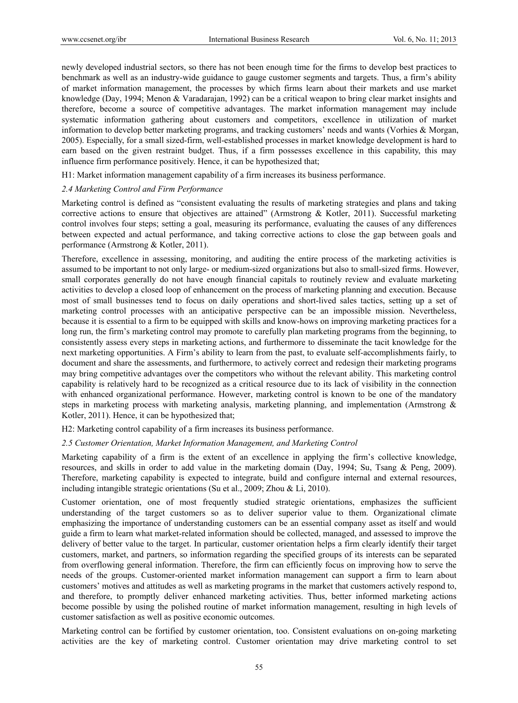newly developed industrial sectors, so there has not been enough time for the firms to develop best practices to benchmark as well as an industry-wide guidance to gauge customer segments and targets. Thus, a firm's ability of market information management, the processes by which firms learn about their markets and use market knowledge (Day, 1994; Menon & Varadarajan, 1992) can be a critical weapon to bring clear market insights and therefore, become a source of competitive advantages. The market information management may include systematic information gathering about customers and competitors, excellence in utilization of market information to develop better marketing programs, and tracking customers' needs and wants (Vorhies & Morgan, 2005). Especially, for a small sized-firm, well-established processes in market knowledge development is hard to earn based on the given restraint budget. Thus, if a firm possesses excellence in this capability, this may influence firm performance positively. Hence, it can be hypothesized that;

# H1: Market information management capability of a firm increases its business performance.

## *2.4 Marketing Control and Firm Performance*

Marketing control is defined as "consistent evaluating the results of marketing strategies and plans and taking corrective actions to ensure that objectives are attained" (Armstrong & Kotler, 2011). Successful marketing control involves four steps; setting a goal, measuring its performance, evaluating the causes of any differences between expected and actual performance, and taking corrective actions to close the gap between goals and performance (Armstrong & Kotler, 2011).

Therefore, excellence in assessing, monitoring, and auditing the entire process of the marketing activities is assumed to be important to not only large- or medium-sized organizations but also to small-sized firms. However, small corporates generally do not have enough financial capitals to routinely review and evaluate marketing activities to develop a closed loop of enhancement on the process of marketing planning and execution. Because most of small businesses tend to focus on daily operations and short-lived sales tactics, setting up a set of marketing control processes with an anticipative perspective can be an impossible mission. Nevertheless, because it is essential to a firm to be equipped with skills and know-hows on improving marketing practices for a long run, the firm's marketing control may promote to carefully plan marketing programs from the beginning, to consistently assess every steps in marketing actions, and furthermore to disseminate the tacit knowledge for the next marketing opportunities. A Firm's ability to learn from the past, to evaluate self-accomplishments fairly, to document and share the assessments, and furthermore, to actively correct and redesign their marketing programs may bring competitive advantages over the competitors who without the relevant ability. This marketing control capability is relatively hard to be recognized as a critical resource due to its lack of visibility in the connection with enhanced organizational performance. However, marketing control is known to be one of the mandatory steps in marketing process with marketing analysis, marketing planning, and implementation (Armstrong & Kotler, 2011). Hence, it can be hypothesized that;

H2: Marketing control capability of a firm increases its business performance.

## *2.5 Customer Orientation, Market Information Management, and Marketing Control*

Marketing capability of a firm is the extent of an excellence in applying the firm's collective knowledge, resources, and skills in order to add value in the marketing domain (Day, 1994; Su, Tsang & Peng, 2009). Therefore, marketing capability is expected to integrate, build and configure internal and external resources, including intangible strategic orientations (Su et al., 2009; Zhou & Li, 2010).

Customer orientation, one of most frequently studied strategic orientations, emphasizes the sufficient understanding of the target customers so as to deliver superior value to them. Organizational climate emphasizing the importance of understanding customers can be an essential company asset as itself and would guide a firm to learn what market-related information should be collected, managed, and assessed to improve the delivery of better value to the target. In particular, customer orientation helps a firm clearly identify their target customers, market, and partners, so information regarding the specified groups of its interests can be separated from overflowing general information. Therefore, the firm can efficiently focus on improving how to serve the needs of the groups. Customer-oriented market information management can support a firm to learn about customers' motives and attitudes as well as marketing programs in the market that customers actively respond to, and therefore, to promptly deliver enhanced marketing activities. Thus, better informed marketing actions become possible by using the polished routine of market information management, resulting in high levels of customer satisfaction as well as positive economic outcomes.

Marketing control can be fortified by customer orientation, too. Consistent evaluations on on-going marketing activities are the key of marketing control. Customer orientation may drive marketing control to set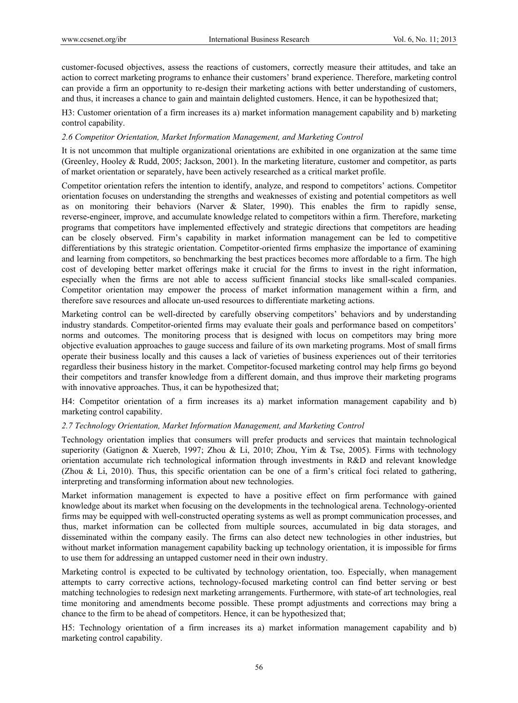customer-focused objectives, assess the reactions of customers, correctly measure their attitudes, and take an action to correct marketing programs to enhance their customers' brand experience. Therefore, marketing control can provide a firm an opportunity to re-design their marketing actions with better understanding of customers, and thus, it increases a chance to gain and maintain delighted customers. Hence, it can be hypothesized that;

H3: Customer orientation of a firm increases its a) market information management capability and b) marketing control capability.

# *2.6 Competitor Orientation, Market Information Management, and Marketing Control*

It is not uncommon that multiple organizational orientations are exhibited in one organization at the same time (Greenley, Hooley & Rudd, 2005; Jackson, 2001). In the marketing literature, customer and competitor, as parts of market orientation or separately, have been actively researched as a critical market profile.

Competitor orientation refers the intention to identify, analyze, and respond to competitors' actions. Competitor orientation focuses on understanding the strengths and weaknesses of existing and potential competitors as well as on monitoring their behaviors (Narver & Slater, 1990). This enables the firm to rapidly sense, reverse-engineer, improve, and accumulate knowledge related to competitors within a firm. Therefore, marketing programs that competitors have implemented effectively and strategic directions that competitors are heading can be closely observed. Firm's capability in market information management can be led to competitive differentiations by this strategic orientation. Competitor-oriented firms emphasize the importance of examining and learning from competitors, so benchmarking the best practices becomes more affordable to a firm. The high cost of developing better market offerings make it crucial for the firms to invest in the right information, especially when the firms are not able to access sufficient financial stocks like small-scaled companies. Competitor orientation may empower the process of market information management within a firm, and therefore save resources and allocate un-used resources to differentiate marketing actions.

Marketing control can be well-directed by carefully observing competitors' behaviors and by understanding industry standards. Competitor-oriented firms may evaluate their goals and performance based on competitors' norms and outcomes. The monitoring process that is designed with locus on competitors may bring more objective evaluation approaches to gauge success and failure of its own marketing programs. Most of small firms operate their business locally and this causes a lack of varieties of business experiences out of their territories regardless their business history in the market. Competitor-focused marketing control may help firms go beyond their competitors and transfer knowledge from a different domain, and thus improve their marketing programs with innovative approaches. Thus, it can be hypothesized that;

H4: Competitor orientation of a firm increases its a) market information management capability and b) marketing control capability.

# *2.7 Technology Orientation, Market Information Management, and Marketing Control*

Technology orientation implies that consumers will prefer products and services that maintain technological superiority (Gatignon & Xuereb, 1997; Zhou & Li, 2010; Zhou, Yim & Tse, 2005). Firms with technology orientation accumulate rich technological information through investments in R&D and relevant knowledge (Zhou & Li, 2010). Thus, this specific orientation can be one of a firm's critical foci related to gathering, interpreting and transforming information about new technologies.

Market information management is expected to have a positive effect on firm performance with gained knowledge about its market when focusing on the developments in the technological arena. Technology-oriented firms may be equipped with well-constructed operating systems as well as prompt communication processes, and thus, market information can be collected from multiple sources, accumulated in big data storages, and disseminated within the company easily. The firms can also detect new technologies in other industries, but without market information management capability backing up technology orientation, it is impossible for firms to use them for addressing an untapped customer need in their own industry.

Marketing control is expected to be cultivated by technology orientation, too. Especially, when management attempts to carry corrective actions, technology-focused marketing control can find better serving or best matching technologies to redesign next marketing arrangements. Furthermore, with state-of art technologies, real time monitoring and amendments become possible. These prompt adjustments and corrections may bring a chance to the firm to be ahead of competitors. Hence, it can be hypothesized that;

H5: Technology orientation of a firm increases its a) market information management capability and b) marketing control capability.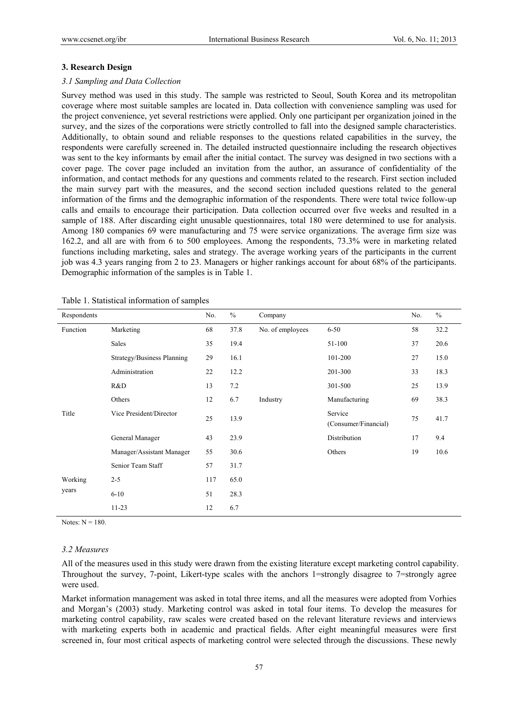#### **3. Research Design**

#### *3.1 Sampling and Data Collection*

Survey method was used in this study. The sample was restricted to Seoul, South Korea and its metropolitan coverage where most suitable samples are located in. Data collection with convenience sampling was used for the project convenience, yet several restrictions were applied. Only one participant per organization joined in the survey, and the sizes of the corporations were strictly controlled to fall into the designed sample characteristics. Additionally, to obtain sound and reliable responses to the questions related capabilities in the survey, the respondents were carefully screened in. The detailed instructed questionnaire including the research objectives was sent to the key informants by email after the initial contact. The survey was designed in two sections with a cover page. The cover page included an invitation from the author, an assurance of confidentiality of the information, and contact methods for any questions and comments related to the research. First section included the main survey part with the measures, and the second section included questions related to the general information of the firms and the demographic information of the respondents. There were total twice follow-up calls and emails to encourage their participation. Data collection occurred over five weeks and resulted in a sample of 188. After discarding eight unusable questionnaires, total 180 were determined to use for analysis. Among 180 companies 69 were manufacturing and 75 were service organizations. The average firm size was 162.2, and all are with from 6 to 500 employees. Among the respondents, 73.3% were in marketing related functions including marketing, sales and strategy. The average working years of the participants in the current job was 4.3 years ranging from 2 to 23. Managers or higher rankings account for about 68% of the participants. Demographic information of the samples is in Table 1.

| Respondents |                            | No. | $\%$ | Company          |                                 | No. | $\frac{0}{0}$ |
|-------------|----------------------------|-----|------|------------------|---------------------------------|-----|---------------|
| Function    | Marketing                  | 68  | 37.8 | No. of employees | $6 - 50$                        | 58  | 32.2          |
|             | Sales                      | 35  | 19.4 |                  | 51-100                          | 37  | 20.6          |
|             | Strategy/Business Planning | 29  | 16.1 |                  | 101-200                         | 27  | 15.0          |
|             | Administration             | 22  | 12.2 |                  | 201-300                         | 33  | 18.3          |
|             | R&D                        | 13  | 7.2  |                  | 301-500                         | 25  | 13.9          |
|             | Others                     | 12  | 6.7  | Industry         | Manufacturing                   | 69  | 38.3          |
| Title       | Vice President/Director    | 25  | 13.9 |                  | Service<br>(Consumer/Financial) | 75  | 41.7          |
|             | General Manager            | 43  | 23.9 |                  | Distribution                    | 17  | 9.4           |
|             | Manager/Assistant Manager  | 55  | 30.6 |                  | Others                          | 19  | 10.6          |
|             | Senior Team Staff          | 57  | 31.7 |                  |                                 |     |               |
| Working     | $2 - 5$                    | 117 | 65.0 |                  |                                 |     |               |
| years       | $6 - 10$                   | 51  | 28.3 |                  |                                 |     |               |
|             | $11 - 23$                  | 12  | 6.7  |                  |                                 |     |               |

| Table 1. Statistical information of samples |  |  |  |  |  |  |
|---------------------------------------------|--|--|--|--|--|--|
|---------------------------------------------|--|--|--|--|--|--|

Notes:  $N = 180$ .

#### *3.2 Measures*

All of the measures used in this study were drawn from the existing literature except marketing control capability. Throughout the survey, 7-point, Likert-type scales with the anchors 1=strongly disagree to 7=strongly agree were used.

Market information management was asked in total three items, and all the measures were adopted from Vorhies and Morgan's (2003) study. Marketing control was asked in total four items. To develop the measures for marketing control capability, raw scales were created based on the relevant literature reviews and interviews with marketing experts both in academic and practical fields. After eight meaningful measures were first screened in, four most critical aspects of marketing control were selected through the discussions. These newly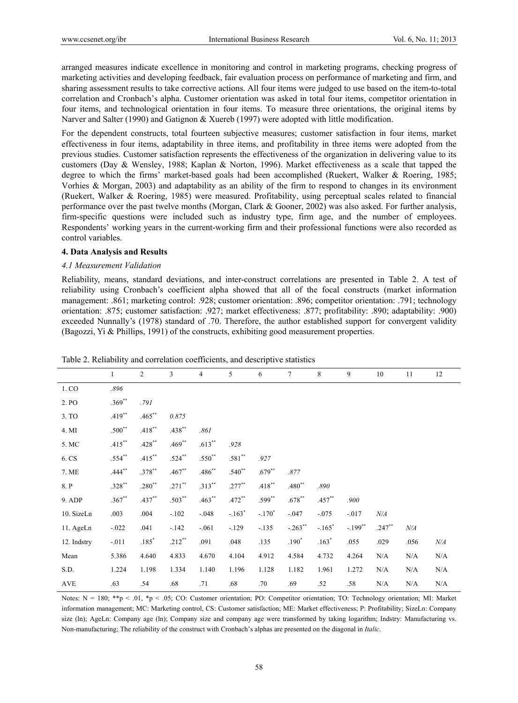arranged measures indicate excellence in monitoring and control in marketing programs, checking progress of marketing activities and developing feedback, fair evaluation process on performance of marketing and firm, and sharing assessment results to take corrective actions. All four items were judged to use based on the item-to-total correlation and Cronbach's alpha. Customer orientation was asked in total four items, competitor orientation in four items, and technological orientation in four items. To measure three orientations, the original items by Narver and Salter (1990) and Gatignon & Xuereb (1997) were adopted with little modification.

For the dependent constructs, total fourteen subjective measures; customer satisfaction in four items, market effectiveness in four items, adaptability in three items, and profitability in three items were adopted from the previous studies. Customer satisfaction represents the effectiveness of the organization in delivering value to its customers (Day & Wensley, 1988; Kaplan & Norton, 1996). Market effectiveness as a scale that tapped the degree to which the firms' market-based goals had been accomplished (Ruekert, Walker & Roering, 1985; Vorhies & Morgan, 2003) and adaptability as an ability of the firm to respond to changes in its environment (Ruekert, Walker & Roering, 1985) were measured. Profitability, using perceptual scales related to financial performance over the past twelve months (Morgan, Clark & Gooner, 2002) was also asked. For further analysis, firm-specific questions were included such as industry type, firm age, and the number of employees. Respondents' working years in the current-working firm and their professional functions were also recorded as control variables.

# **4. Data Analysis and Results**

# *4.1 Measurement Validation*

Reliability, means, standard deviations, and inter-construct correlations are presented in Table 2. A test of reliability using Cronbach's coefficient alpha showed that all of the focal constructs (market information management: .861; marketing control: .928; customer orientation: .896; competitor orientation: .791; technology orientation: .875; customer satisfaction: .927; market effectiveness: .877; profitability: .890; adaptability: .900) exceeded Nunnally's (1978) standard of .70. Therefore, the author established support for convergent validity (Bagozzi, Yi & Phillips, 1991) of the constructs, exhibiting good measurement properties.

|             | 1         | 2         | $\mathfrak{Z}$ | $\overline{4}$ | 5         | 6         | $\overline{7}$ | 8                    | 9                     | 10       | 11        | 12        |
|-------------|-----------|-----------|----------------|----------------|-----------|-----------|----------------|----------------------|-----------------------|----------|-----------|-----------|
| 1. CO       | .896      |           |                |                |           |           |                |                      |                       |          |           |           |
| 2. PO       | $.369**$  | .791      |                |                |           |           |                |                      |                       |          |           |           |
| 3. TO       | $.419***$ | $.465***$ | 0.875          |                |           |           |                |                      |                       |          |           |           |
| 4. MI       | $.500**$  | $.418***$ | $.438***$      | .861           |           |           |                |                      |                       |          |           |           |
| 5. MC       | $.415***$ | $.428**$  | $.469**$       | $.613***$      | .928      |           |                |                      |                       |          |           |           |
| 6. CS       | $.554***$ | $.415***$ | $.524***$      | .550**         | $.581**$  | .927      |                |                      |                       |          |           |           |
| 7. ME       | $.444***$ | $.378***$ | $.467**$       | $.486^{**}$    | $.540**$  | $.679**$  | .877           |                      |                       |          |           |           |
| 8.P         | $.328***$ | $.280**$  | $.271$ **      | $.313***$      | $.277***$ | $.418***$ | .480**         | .890                 |                       |          |           |           |
| 9. ADP      | $.367**$  | $.437***$ | $.503**$       | $.463***$      | $.472**$  | $.599***$ | $.678**$       | $.457**$             | .900                  |          |           |           |
| 10. SizeLn  | .003      | .004      | $-.102$        | $-.048$        | $-.163*$  | $-.170^*$ | $-.047$        | $-.075$              | $-0.017$              | N/A      |           |           |
| 11. AgeLn   | $-.022$   | .041      | $-142$         | $-.061$        | $-.129$   | $-.135$   | $-.263$ **     | $-.165$ <sup>*</sup> | $-.199$ <sup>**</sup> | $.247**$ | $N\!/\!A$ |           |
| 12. Indstry | $-.011$   | $.185*$   | $.212***$      | .091           | .048      | .135      | $.190*$        | $.163*$              | .055                  | .029     | .056      | $N\!/\!A$ |
| Mean        | 5.386     | 4.640     | 4.833          | 4.670          | 4.104     | 4.912     | 4.584          | 4.732                | 4.264                 | N/A      | N/A       | N/A       |
| S.D.        | 1.224     | 1.198     | 1.334          | 1.140          | 1.196     | 1.128     | 1.182          | 1.961                | 1.272                 | N/A      | N/A       | N/A       |
| <b>AVE</b>  | .63       | .54       | .68            | .71            | .68       | .70       | .69            | .52                  | .58                   | N/A      | N/A       | N/A       |

Table 2. Reliability and correlation coefficients, and descriptive statistics

Notes: N = 180; \*\*p < .01, \*p < .05; CO: Customer orientation; PO: Competitor orientation; TO: Technology orientation; MI: Market information management; MC: Marketing control, CS: Customer satisfaction; ME: Market effectiveness; P: Profitability; SizeLn: Company size (ln); AgeLn: Company age (ln); Company size and company age were transformed by taking logarithm; Indstry: Manufacturing vs. Non-manufacturing; The reliability of the construct with Cronbach's alphas are presented on the diagonal in *Italic*.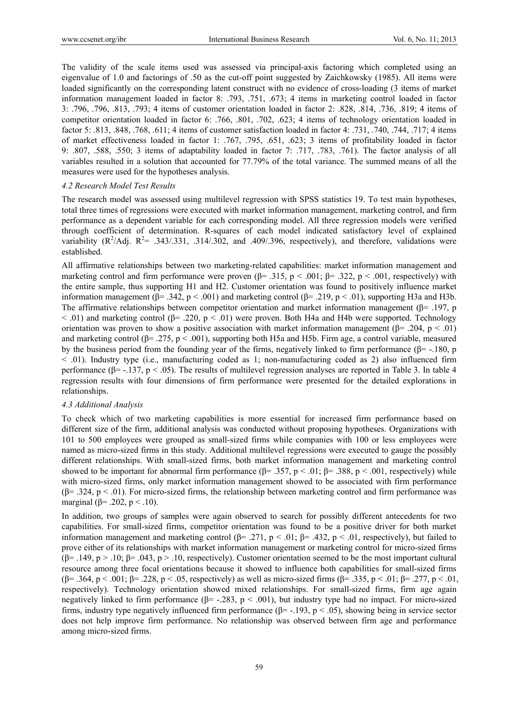The validity of the scale items used was assessed via principal-axis factoring which completed using an eigenvalue of 1.0 and factorings of .50 as the cut-off point suggested by Zaichkowsky (1985). All items were loaded significantly on the corresponding latent construct with no evidence of cross-loading (3 items of market information management loaded in factor 8: .793, .751, .673; 4 items in marketing control loaded in factor 3: .796, .796, .813, .793; 4 items of customer orientation loaded in factor 2: .828, .814, .736, .819; 4 items of competitor orientation loaded in factor 6: .766, .801, .702, .623; 4 items of technology orientation loaded in factor 5: .813, .848, .768, .611; 4 items of customer satisfaction loaded in factor 4: .731, .740, .744, .717; 4 items of market effectiveness loaded in factor 1: .767, .795, .651, .623; 3 items of profitability loaded in factor 9: .807, .588, .550; 3 items of adaptability loaded in factor 7: .717, .783, .761). The factor analysis of all variables resulted in a solution that accounted for 77.79% of the total variance. The summed means of all the measures were used for the hypotheses analysis.

#### *4.2 Research Model Test Results*

The research model was assessed using multilevel regression with SPSS statistics 19. To test main hypotheses, total three times of regressions were executed with market information management, marketing control, and firm performance as a dependent variable for each corresponding model. All three regression models were verified through coefficient of determination. R-squares of each model indicated satisfactory level of explained variability  $(R^2/Adj. R^2 = .343/.331, .314/.302, and .409/.396, respectively)$ , and therefore, validations were established.

All affirmative relationships between two marketing-related capabilities: market information management and marketing control and firm performance were proven ( $\beta$ = .315, p < .001;  $\beta$ = .322, p < .001, respectively) with the entire sample, thus supporting H1 and H2. Customer orientation was found to positively influence market information management (β= .342, p < .001) and marketing control (β= .219, p < .01), supporting H3a and H3b. The affirmative relationships between competitor orientation and market information management ( $\beta$ = .197, p < .01) and marketing control (β= .220, p < .01) were proven. Both H4a and H4b were supported. Technology orientation was proven to show a positive association with market information management ( $\beta$ = .204, p < .01) and marketing control ( $\beta$ = .275, p < .001), supporting both H5a and H5b. Firm age, a control variable, measured by the business period from the founding year of the firms, negatively linked to firm performance ( $\beta$ = -.180, p  $\leq$  .01). Industry type (i.e., manufacturing coded as 1; non-manufacturing coded as 2) also influenced firm performance ( $\beta$ = -.137, p < .05). The results of multilevel regression analyses are reported in Table 3. In table 4 regression results with four dimensions of firm performance were presented for the detailed explorations in relationships.

#### *4.3 Additional Analysis*

To check which of two marketing capabilities is more essential for increased firm performance based on different size of the firm, additional analysis was conducted without proposing hypotheses. Organizations with 101 to 500 employees were grouped as small-sized firms while companies with 100 or less employees were named as micro-sized firms in this study. Additional multilevel regressions were executed to gauge the possibly different relationships. With small-sized firms, both market information management and marketing control showed to be important for abnormal firm performance ( $\beta$ = .357, p < .01;  $\beta$ = .388, p < .001, respectively) while with micro-sized firms, only market information management showed to be associated with firm performance  $(\beta = .324, p < .01)$ . For micro-sized firms, the relationship between marketing control and firm performance was marginal (β= .202, p < .10).

In addition, two groups of samples were again observed to search for possibly different antecedents for two capabilities. For small-sized firms, competitor orientation was found to be a positive driver for both market information management and marketing control (β= .271, p < .01; β= .432, p < .01, respectively), but failed to prove either of its relationships with market information management or marketing control for micro-sized firms ( $\beta$ = .149, p > .10;  $\beta$ = .043, p > .10, respectively). Customer orientation seemed to be the most important cultural resource among three focal orientations because it showed to influence both capabilities for small-sized firms  $(\beta = .364, p < .001; \beta = .228, p < .05$ , respectively) as well as micro-sized firms  $(\beta = .335, p < .01; \beta = .277, p < .01$ . respectively). Technology orientation showed mixed relationships. For small-sized firms, firm age again negatively linked to firm performance (β= -.283, p < .001), but industry type had no impact. For micro-sized firms, industry type negatively influenced firm performance ( $\beta$ = -.193, p < .05), showing being in service sector does not help improve firm performance. No relationship was observed between firm age and performance among micro-sized firms.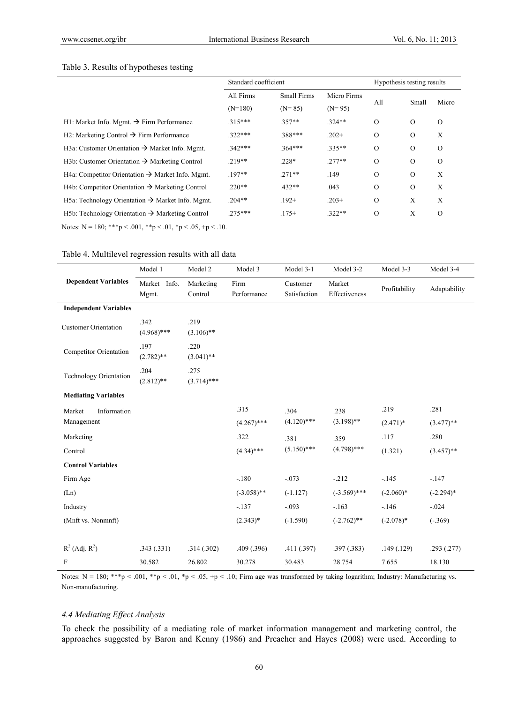# Table 3. Results of hypotheses testing

|                                                              | Standard coefficient |             | Hypothesis testing results |          |          |          |
|--------------------------------------------------------------|----------------------|-------------|----------------------------|----------|----------|----------|
|                                                              | All Firms            | Small Firms | Micro Firms                | All      | Small    | Micro    |
|                                                              | $(N=180)$            | $(N=85)$    | $(N=95)$                   |          |          |          |
| H1: Market Info. Mgmt. $\rightarrow$ Firm Performance        | $.315***$            | $.357**$    | $.324**$                   | $\Omega$ | $\Omega$ | $\Omega$ |
| H2: Marketing Control $\rightarrow$ Firm Performance         | $322***$             | 388***      | $.202+$                    | $\Omega$ | $\Omega$ | X        |
| H3a: Customer Orientation $\rightarrow$ Market Info. Mgmt.   | $.342***$            | $.364***$   | $.335**$                   | $\Omega$ | $\Omega$ | $\Omega$ |
| H3b: Customer Orientation $\rightarrow$ Marketing Control    | $.219**$             | $.228*$     | $.277**$                   | $\Omega$ | $\Omega$ | $\Omega$ |
| H4a: Competitor Orientation $\rightarrow$ Market Info. Mgmt. | $.197**$             | $.271**$    | .149                       | $\Omega$ | $\Omega$ | X        |
| H4b: Competitor Orientation $\rightarrow$ Marketing Control  | $.220**$             | 432**       | .043                       | $\Omega$ | $\Omega$ | X        |
| H5a: Technology Orientation $\rightarrow$ Market Info. Mgmt. | $.204**$             | $.192 +$    | $-203+$                    | $\Omega$ | X        | X        |
| H5b: Technology Orientation $\rightarrow$ Marketing Control  | $275***$             | $.175+$     | $.322**$                   | $\Omega$ | X        | $\Omega$ |

Notes:  $N = 180$ ; \*\*\*p < .001, \*\*p < .01, \*p < .05, +p < .10.

# Table 4. Multilevel regression results with all data

|                               | Model 1               | Model 2               | Model 3             | Model 3-1                | Model 3-2               | Model 3-3     | Model 3-4    |
|-------------------------------|-----------------------|-----------------------|---------------------|--------------------------|-------------------------|---------------|--------------|
| <b>Dependent Variables</b>    | Market Info.<br>Mgmt. | Marketing<br>Control  | Firm<br>Performance | Customer<br>Satisfaction | Market<br>Effectiveness | Profitability | Adaptability |
| <b>Independent Variables</b>  |                       |                       |                     |                          |                         |               |              |
| <b>Customer Orientation</b>   | .342<br>$(4.968)$ *** | .219<br>$(3.106)$ **  |                     |                          |                         |               |              |
| <b>Competitor Orientation</b> | .197<br>$(2.782)$ **  | .220<br>$(3.041)$ **  |                     |                          |                         |               |              |
| <b>Technology Orientation</b> | .204<br>$(2.812)$ **  | .275<br>$(3.714)$ *** |                     |                          |                         |               |              |
| <b>Mediating Variables</b>    |                       |                       |                     |                          |                         |               |              |
| Market<br>Information         |                       |                       | .315                | .304                     | .238                    | .219          | .281         |
| Management                    |                       |                       | $(4.267)$ ***       | $(4.120)$ ***            | $(3.198)$ **            | $(2.471)*$    | $(3.477)$ ** |
| Marketing                     |                       |                       | .322                | .381                     | .359                    | .117          | .280         |
| Control                       |                       |                       | $(4.34)$ ***        | $(5.150)$ ***            | $(4.798)$ ***           | (1.321)       | $(3.457)$ ** |
| <b>Control Variables</b>      |                       |                       |                     |                          |                         |               |              |
| Firm Age                      |                       |                       | $-180$              | $-.073$                  | $-212$                  | $-145$        | $-147$       |
| (Ln)                          |                       |                       | $(-3.058)$ **       | $(-1.127)$               | $(-3.569)$ ***          | $(-2.060)*$   | $(-2.294)$ * |
| Industry                      |                       |                       | $-137$              | $-.093$                  | $-.163$                 | $-146$        | $-0.024$     |
| (Mnft vs. Nonmnft)            |                       |                       | $(2.343)*$          | $(-1.590)$               | $(-2.762)$ **           | $(-2.078)*$   | $(-.369)$    |
|                               |                       |                       |                     |                          |                         |               |              |
| $R^2$ (Adj. $R^2$ )           | .343(.331)            | .314(.302)            | .409(.396)          | .411(.397)               | .397(.383)              | .149(.129)    | .293(.277)   |
| F                             | 30.582                | 26.802                | 30.278              | 30.483                   | 28.754                  | 7.655         | 18.130       |

Notes:  $N = 180$ ; \*\*\*p < .001, \*\*p < .01, \*p < .05, +p < .10; Firm age was transformed by taking logarithm; Industry: Manufacturing vs. Non-manufacturing.

# *4.4 Mediating Effect Analysis*

To check the possibility of a mediating role of market information management and marketing control, the approaches suggested by Baron and Kenny (1986) and Preacher and Hayes (2008) were used. According to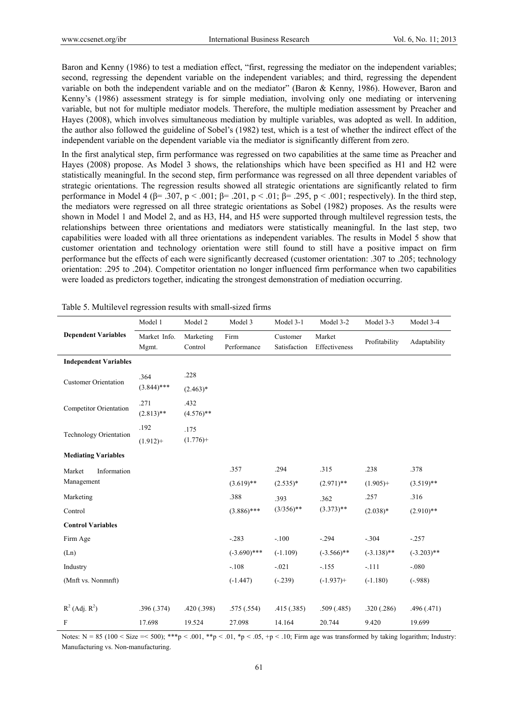Baron and Kenny (1986) to test a mediation effect, "first, regressing the mediator on the independent variables; second, regressing the dependent variable on the independent variables; and third, regressing the dependent variable on both the independent variable and on the mediator" (Baron & Kenny, 1986). However, Baron and Kenny's (1986) assessment strategy is for simple mediation, involving only one mediating or intervening variable, but not for multiple mediator models. Therefore, the multiple mediation assessment by Preacher and Hayes (2008), which involves simultaneous mediation by multiple variables, was adopted as well. In addition, the author also followed the guideline of Sobel's (1982) test, which is a test of whether the indirect effect of the independent variable on the dependent variable via the mediator is significantly different from zero.

In the first analytical step, firm performance was regressed on two capabilities at the same time as Preacher and Hayes (2008) propose. As Model 3 shows, the relationships which have been specified as H1 and H2 were statistically meaningful. In the second step, firm performance was regressed on all three dependent variables of strategic orientations. The regression results showed all strategic orientations are significantly related to firm performance in Model 4 (β= .307, p < .001; β= .201, p < .01; β= .295, p < .001; respectively). In the third step, the mediators were regressed on all three strategic orientations as Sobel (1982) proposes. As the results were shown in Model 1 and Model 2, and as H3, H4, and H5 were supported through multilevel regression tests, the relationships between three orientations and mediators were statistically meaningful. In the last step, two capabilities were loaded with all three orientations as independent variables. The results in Model 5 show that customer orientation and technology orientation were still found to still have a positive impact on firm performance but the effects of each were significantly decreased (customer orientation: .307 to .205; technology orientation: .295 to .204). Competitor orientation no longer influenced firm performance when two capabilities were loaded as predictors together, indicating the strongest demonstration of mediation occurring.

|                               | Model 1               | Model 2              | Model 3             | Model 3-1                | Model 3-2               | Model 3-3     | Model 3-4     |
|-------------------------------|-----------------------|----------------------|---------------------|--------------------------|-------------------------|---------------|---------------|
| <b>Dependent Variables</b>    | Market Info.<br>Mgmt. | Marketing<br>Control | Firm<br>Performance | Customer<br>Satisfaction | Market<br>Effectiveness | Profitability | Adaptability  |
| <b>Independent Variables</b>  |                       |                      |                     |                          |                         |               |               |
|                               | .364                  | .228                 |                     |                          |                         |               |               |
| <b>Customer Orientation</b>   | $(3.844)$ ***         | $(2.463)*$           |                     |                          |                         |               |               |
| Competitor Orientation        | .271<br>$(2.813)$ **  | .432<br>$(4.576)$ ** |                     |                          |                         |               |               |
|                               | .192                  | .175                 |                     |                          |                         |               |               |
| <b>Technology Orientation</b> | $(1.912) +$           | $(1.776) +$          |                     |                          |                         |               |               |
| <b>Mediating Variables</b>    |                       |                      |                     |                          |                         |               |               |
| Information<br>Market         |                       |                      | .357                | .294                     | .315                    | .238          | .378          |
| Management                    |                       |                      | $(3.619)$ **        | $(2.535)*$               | $(2.971)$ **            | $(1.905) +$   | $(3.519)**$   |
| Marketing                     |                       |                      | .388                | .393                     | .362                    | .257          | .316          |
| Control                       |                       |                      | $(3.886)$ ***       | $(3/356)$ **             | $(3.373)$ **            | $(2.038)*$    | $(2.910)**$   |
| <b>Control Variables</b>      |                       |                      |                     |                          |                         |               |               |
| Firm Age                      |                       |                      | $-0.283$            | $-.100$                  | $-.294$                 | $-.304$       | $-.257$       |
| (Ln)                          |                       |                      | $(-3.690)$ ***      | $(-1.109)$               | $(-3.566)$ **           | $(-3.138)$ ** | $(-3.203)$ ** |
| Industry                      |                       |                      | $-.108$             | $-.021$                  | $-155$                  | $-.111$       | $-.080$       |
| (Mnft vs. Nonmnft)            |                       |                      | $(-1.447)$          | $(-.239)$                | $(-1.937) +$            | $(-1.180)$    | $(-.988)$     |
|                               |                       |                      |                     |                          |                         |               |               |
| $R^2$ (Adj. $R^2$ )           | .396(.374)            | .420(.398)           | .575(.554)          | .415(.385)               | .509(.485)              | .320(.286)    | .496(.471)    |
| F                             | 17.698                | 19.524               | 27.098              | 14.164                   | 20.744                  | 9.420         | 19.699        |

Table 5. Multilevel regression results with small-sized firms

Notes: N = 85 (100 < Size =  $\leq$  500); \*\*\*p < .001, \*\*p < .01, \*p < .05, +p < .10; Firm age was transformed by taking logarithm; Industry: Manufacturing vs. Non-manufacturing.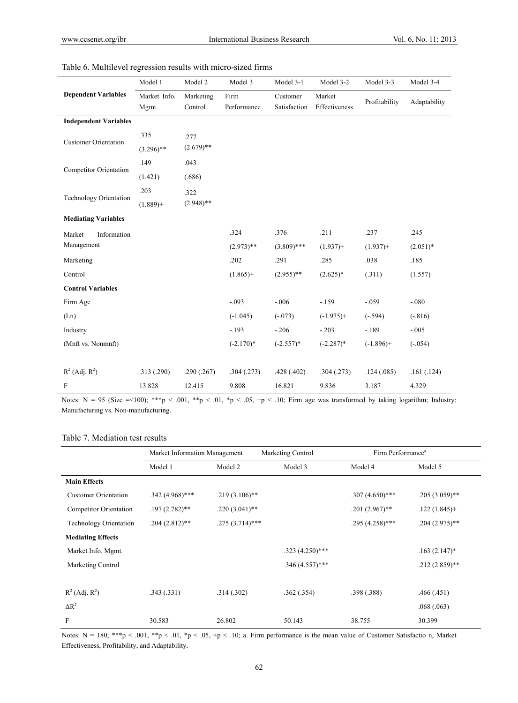|                               | Model 1               | Model 2              | Model 3             | Model 3-1                | Model 3-2               | Model 3-3     | Model 3-4    |
|-------------------------------|-----------------------|----------------------|---------------------|--------------------------|-------------------------|---------------|--------------|
| <b>Dependent Variables</b>    | Market Info.<br>Mgmt. | Marketing<br>Control | Firm<br>Performance | Customer<br>Satisfaction | Market<br>Effectiveness | Profitability | Adaptability |
| <b>Independent Variables</b>  |                       |                      |                     |                          |                         |               |              |
| <b>Customer Orientation</b>   | .335                  | .277                 |                     |                          |                         |               |              |
|                               | $(3.296)$ **          | $(2.679)$ **         |                     |                          |                         |               |              |
|                               | .149                  | .043                 |                     |                          |                         |               |              |
| <b>Competitor Orientation</b> | (1.421)               | (.686)               |                     |                          |                         |               |              |
|                               | .203                  | .322                 |                     |                          |                         |               |              |
| <b>Technology Orientation</b> | $(1.889)+$            | $(2.948)$ **         |                     |                          |                         |               |              |
| <b>Mediating Variables</b>    |                       |                      |                     |                          |                         |               |              |
| Information<br>Market         |                       |                      | .324                | .376                     | .211                    | .237          | .245         |
| Management                    |                       |                      | $(2.973)$ **        | $(3.809)$ ***            | $(1.937) +$             | $(1.937) +$   | $(2.051)*$   |
| Marketing                     |                       |                      | .202                | .291                     | .285                    | .038          | .185         |
| Control                       |                       |                      | $(1.865)$ +         | $(2.955)$ **             | $(2.625)^*$             | (.311)        | (1.557)      |
| <b>Control Variables</b>      |                       |                      |                     |                          |                         |               |              |
| Firm Age                      |                       |                      | $-.093$             | $-.006$                  | $-159$                  | $-.059$       | $-080$       |
| (Ln)                          |                       |                      | $(-1.045)$          | $(-0.073)$               | $(-1.975)$ +            | $(-.594)$     | $(-.816)$    |
| Industry                      |                       |                      | $-.193$             | $-.206$                  | $-.203$                 | $-189$        | $-.005$      |
| (Mnft vs. Nonmnft)            |                       |                      | $(-2.170)^*$        | $(-2.557)*$              | $(-2.287)$ *            | $(-1.896) +$  | $(-0.054)$   |
|                               |                       |                      |                     |                          |                         |               |              |
| $R^2$ (Adj. $R^2$ )           | .313(.290)            | .290(.267)           | .304(.273)          | .428(.402)               | .304(.273)              | .124(.085)    | .161(.124)   |
| F                             | 13.828                | 12.415               | 9.808               | 16.821                   | 9.836                   | 3.187         | 4.329        |

# Table 6. Multilevel regression results with micro-sized firms

Notes:  $N = 95$  (Size = <100); \*\*\*p < .001, \*\*p < .01, \*p < .05, +p < .10; Firm age was transformed by taking logarithm; Industry: Manufacturing vs. Non-manufacturing.

# Table 7. Mediation test results

|                               | Market Information Management |                   | Marketing Control | Firm Performance <sup>a</sup> |                  |
|-------------------------------|-------------------------------|-------------------|-------------------|-------------------------------|------------------|
|                               | Model 1                       | Model 2           | Model 3           | Model 4                       | Model 5          |
| <b>Main Effects</b>           |                               |                   |                   |                               |                  |
| <b>Customer Orientation</b>   | .342 (4.968)***               | $.219(3.106)$ **  |                   | .307 $(4.650)$ ***            | $.205(3.059)$ ** |
| <b>Competitor Orientation</b> | $.197(2.782)$ **              | $.220(3.041)$ **  |                   | $.201(2.967)$ **              | $.122(1.845)$ +  |
| <b>Technology Orientation</b> | $.204(2.812)$ **              | $.275(3.714)$ *** |                   | $.295(4.258)$ ***             | $.204(2.975)$ ** |
| <b>Mediating Effects</b>      |                               |                   |                   |                               |                  |
| Market Info. Mgmt.            |                               |                   | $.323(4.250)***$  |                               | $.163(2.147)^*$  |
| Marketing Control             |                               |                   | $.346(4.557)$ *** |                               | $.212(2.859)$ ** |
|                               |                               |                   |                   |                               |                  |
| $R^2$ (Adj. $R^2$ )           | .343(.331)                    | .314(.302)        | .362(.354)        | .398(.388)                    | .466(.451)       |
| $\Delta R^2$                  |                               |                   |                   |                               | .068(.063)       |
| F                             | 30.583                        | 26.802            | 50.143            | 38.755                        | 30.399           |

Notes:  $N = 180$ ; \*\*\*p < .001, \*\*p < .01, \*p < .05, +p < .10; a. Firm performance is the mean value of Customer Satisfactio n, Market Effectiveness, Profitability, and Adaptability.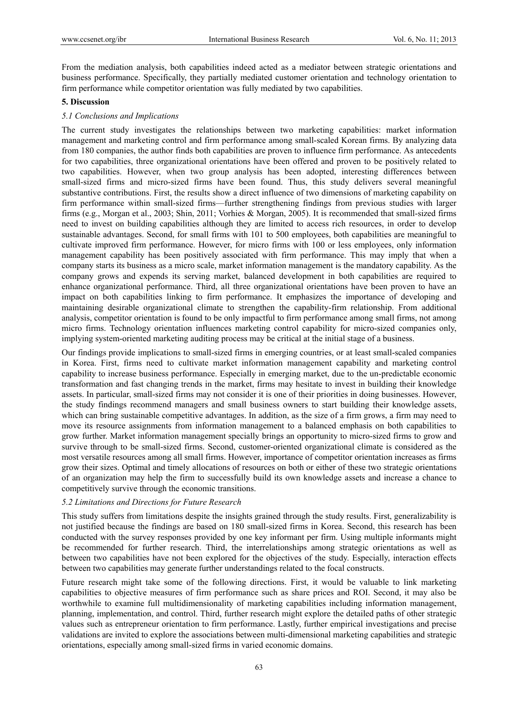From the mediation analysis, both capabilities indeed acted as a mediator between strategic orientations and business performance. Specifically, they partially mediated customer orientation and technology orientation to firm performance while competitor orientation was fully mediated by two capabilities.

# **5. Discussion**

# *5.1 Conclusions and Implications*

The current study investigates the relationships between two marketing capabilities: market information management and marketing control and firm performance among small-scaled Korean firms. By analyzing data from 180 companies, the author finds both capabilities are proven to influence firm performance. As antecedents for two capabilities, three organizational orientations have been offered and proven to be positively related to two capabilities. However, when two group analysis has been adopted, interesting differences between small-sized firms and micro-sized firms have been found. Thus, this study delivers several meaningful substantive contributions. First, the results show a direct influence of two dimensions of marketing capability on firm performance within small-sized firms—further strengthening findings from previous studies with larger firms (e.g., Morgan et al., 2003; Shin, 2011; Vorhies & Morgan, 2005). It is recommended that small-sized firms need to invest on building capabilities although they are limited to access rich resources, in order to develop sustainable advantages. Second, for small firms with 101 to 500 employees, both capabilities are meaningful to cultivate improved firm performance. However, for micro firms with 100 or less employees, only information management capability has been positively associated with firm performance. This may imply that when a company starts its business as a micro scale, market information management is the mandatory capability. As the company grows and expends its serving market, balanced development in both capabilities are required to enhance organizational performance. Third, all three organizational orientations have been proven to have an impact on both capabilities linking to firm performance. It emphasizes the importance of developing and maintaining desirable organizational climate to strengthen the capability-firm relationship. From additional analysis, competitor orientation is found to be only impactful to firm performance among small firms, not among micro firms. Technology orientation influences marketing control capability for micro-sized companies only, implying system-oriented marketing auditing process may be critical at the initial stage of a business.

Our findings provide implications to small-sized firms in emerging countries, or at least small-scaled companies in Korea. First, firms need to cultivate market information management capability and marketing control capability to increase business performance. Especially in emerging market, due to the un-predictable economic transformation and fast changing trends in the market, firms may hesitate to invest in building their knowledge assets. In particular, small-sized firms may not consider it is one of their priorities in doing businesses. However, the study findings recommend managers and small business owners to start building their knowledge assets, which can bring sustainable competitive advantages. In addition, as the size of a firm grows, a firm may need to move its resource assignments from information management to a balanced emphasis on both capabilities to grow further. Market information management specially brings an opportunity to micro-sized firms to grow and survive through to be small-sized firms. Second, customer-oriented organizational climate is considered as the most versatile resources among all small firms. However, importance of competitor orientation increases as firms grow their sizes. Optimal and timely allocations of resources on both or either of these two strategic orientations of an organization may help the firm to successfully build its own knowledge assets and increase a chance to competitively survive through the economic transitions.

## *5.2 Limitations and Directions for Future Research*

This study suffers from limitations despite the insights grained through the study results. First, generalizability is not justified because the findings are based on 180 small-sized firms in Korea. Second, this research has been conducted with the survey responses provided by one key informant per firm. Using multiple informants might be recommended for further research. Third, the interrelationships among strategic orientations as well as between two capabilities have not been explored for the objectives of the study. Especially, interaction effects between two capabilities may generate further understandings related to the focal constructs.

Future research might take some of the following directions. First, it would be valuable to link marketing capabilities to objective measures of firm performance such as share prices and ROI. Second, it may also be worthwhile to examine full multidimensionality of marketing capabilities including information management, planning, implementation, and control. Third, further research might explore the detailed paths of other strategic values such as entrepreneur orientation to firm performance. Lastly, further empirical investigations and precise validations are invited to explore the associations between multi-dimensional marketing capabilities and strategic orientations, especially among small-sized firms in varied economic domains.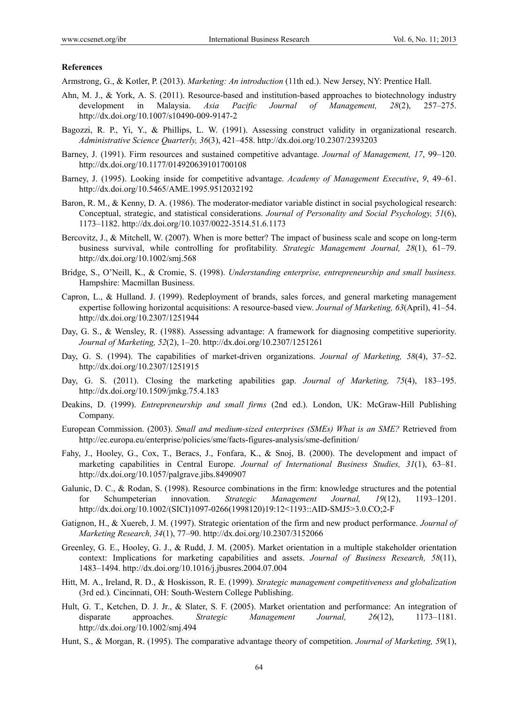#### **References**

Armstrong, G., & Kotler, P. (2013). *Marketing: An introduction* (11th ed.). New Jersey, NY: Prentice Hall.

- Ahn, M. J., & York, A. S. (2011). Resource-based and institution-based approaches to biotechnology industry development in Malaysia. *Asia Pacific Journal of Management, 28*(2), 257–275. http://dx.doi.org/10.1007/s10490-009-9147-2
- Bagozzi, R. P., Yi, Y., & Phillips, L. W. (1991). Assessing construct validity in organizational research. *Administrative Science Quarterly, 36*(3), 421–458. http://dx.doi.org/10.2307/2393203
- Barney, J. (1991). Firm resources and sustained competitive advantage. *Journal of Management, 17*, 99–120. http://dx.doi.org/10.1177/014920639101700108
- Barney, J. (1995). Looking inside for competitive advantage. *Academy of Management Executive*, *9*, 49–61. http://dx.doi.org/10.5465/AME.1995.9512032192
- Baron, R. M., & Kenny, D. A. (1986). The moderator-mediator variable distinct in social psychological research: Conceptual, strategic, and statistical considerations. *Journal of Personality and Social Psychology, 51*(6), 1173–1182. http://dx.doi.org/10.1037/0022-3514.51.6.1173
- Bercovitz, J., & Mitchell, W. (2007). When is more better? The impact of business scale and scope on long-term business survival, while controlling for profitability. *Strategic Management Journal, 28*(1), 61–79. http://dx.doi.org/10.1002/smj.568
- Bridge, S., O'Neill, K., & Cromie, S. (1998). *Understanding enterprise, entrepreneurship and small business.* Hampshire: Macmillan Business.
- Capron, L., & Hulland. J. (1999). Redeployment of brands, sales forces, and general marketing management expertise following horizontal acquisitions: A resource-based view. *Journal of Marketing, 63*(April), 41–54. http://dx.doi.org/10.2307/1251944
- Day, G. S., & Wensley, R. (1988). Assessing advantage: A framework for diagnosing competitive superiority. *Journal of Marketing, 52*(2), 1–20. http://dx.doi.org/10.2307/1251261
- Day, G. S. (1994). The capabilities of market-driven organizations. *Journal of Marketing, 58*(4), 37–52. http://dx.doi.org/10.2307/1251915
- Day, G. S. (2011). Closing the marketing apabilities gap. *Journal of Marketing, 75*(4), 183–195. http://dx.doi.org/10.1509/jmkg.75.4.183
- Deakins, D. (1999). *Entrepreneurship and small firms* (2nd ed.). London, UK: McGraw-Hill Publishing Company.
- European Commission. (2003). *Small and medium-sized enterprises (SMEs) What is an SME?* Retrieved from http://ec.europa.eu/enterprise/policies/sme/facts-figures-analysis/sme-definition/
- Fahy, J., Hooley, G., Cox, T., Beracs, J., Fonfara, K., & Snoj, B. (2000). The development and impact of marketing capabilities in Central Europe. *Journal of International Business Studies, 31*(1), 63–81. http://dx.doi.org/10.1057/palgrave.jibs.8490907
- Galunic, D. C., & Rodan, S. (1998). Resource combinations in the firm: knowledge structures and the potential for Schumpeterian innovation. *Strategic Management Journal, 19*(12), 1193–1201. http://dx.doi.org/10.1002/(SICI)1097-0266(1998120)19:12<1193::AID-SMJ5>3.0.CO;2-F
- Gatignon, H., & Xuereb, J. M. (1997). Strategic orientation of the firm and new product performance. *Journal of Marketing Research, 34*(1), 77–90. http://dx.doi.org/10.2307/3152066
- Greenley, G. E., Hooley, G. J., & Rudd, J. M. (2005). Market orientation in a multiple stakeholder orientation context: Implications for marketing capabilities and assets. *Journal of Business Research, 58*(11), 1483–1494. http://dx.doi.org/10.1016/j.jbusres.2004.07.004
- Hitt, M. A., Ireland, R. D., & Hoskisson, R. E. (1999). *Strategic management competitiveness and globalization*  (3rd ed.)*.* Cincinnati, OH: South-Western College Publishing.
- Hult, G. T., Ketchen, D. J. Jr., & Slater, S. F. (2005). Market orientation and performance: An integration of disparate approaches. *Strategic Management Journal, 26*(12), 1173–1181. http://dx.doi.org/10.1002/smj.494
- Hunt, S., & Morgan, R. (1995). The comparative advantage theory of competition. *Journal of Marketing, 59*(1),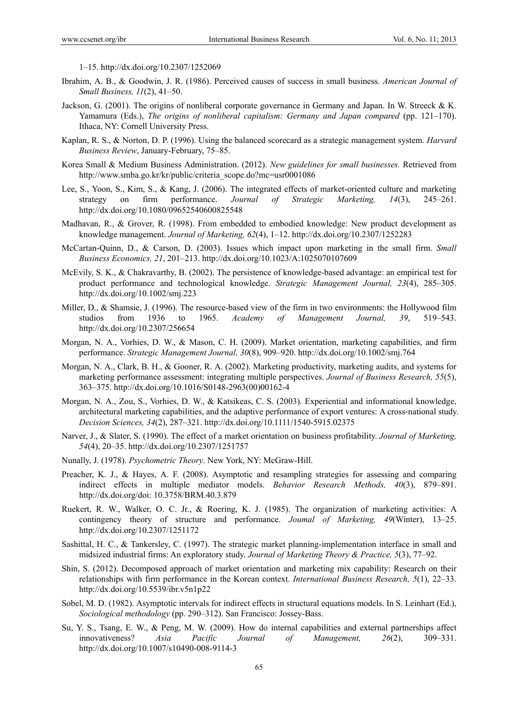1–15. http://dx.doi.org/10.2307/1252069

- Ibrahim, A. B., & Goodwin, J. R. (1986). Perceived causes of success in small business. *American Journal of Small Business, 11*(2), 41–50.
- Jackson, G. (2001). The origins of nonliberal corporate governance in Germany and Japan. In W. Streeck & K. Yamamura (Eds.), *The origins of nonliberal capitalism: Germany and Japan compared* (pp. 121–170). Ithaca, NY: Cornell University Press.
- Kaplan, R. S., & Norton, D. P. (1996). Using the balanced scorecard as a strategic management system. *Harvard Business Review*, January-February, 75–85.
- Korea Small & Medium Business Administration. (2012). *New guidelines for small businesses.* Retrieved from http://www.smba.go.kr/kr/public/criteria\_scope.do?mc=usr0001086
- Lee, S., Yoon, S., Kim, S., & Kang, J. (2006). The integrated effects of market-oriented culture and marketing strategy on firm performance. *Journal of Strategic Marketing, 14*(3), 245–261. http://dx.doi.org/10.1080/09652540600825548
- Madhavan, R., & Grover, R. (1998). From embedded to embodied knowledge: New product development as knowledge management. *Journal of Marketing, 62*(4), 1–12. http://dx.doi.org/10.2307/1252283
- McCartan-Quinn, D., & Carson, D. (2003). Issues which impact upon marketing in the small firm. *Small Business Economics, 21*, 201–213. http://dx.doi.org/10.1023/A:1025070107609
- McEvily, S. K., & Chakravarthy, B. (2002). The persistence of knowledge-based advantage: an empirical test for product performance and technological knowledge. *Strategic Management Journal, 23*(4), 285–305. http://dx.doi.org/10.1002/smj.223
- Miller, D., & Shamsie, J. (1996). The resource-based view of the firm in two environments: the Hollywood film studios from 1936 to 1965. *Academy of Management Journal, 39*, 519–543. http://dx.doi.org/10.2307/256654
- Morgan, N. A., Vorhies, D. W., & Mason, C. H. (2009). Market orientation, marketing capabilities, and firm performance. *Strategic Management Journal, 30*(8), 909–920. http://dx.doi.org/10.1002/smj.764
- Morgan, N. A., Clark, B. H., & Gooner, R. A. (2002). Marketing productivity, marketing audits, and systems for marketing performance assessment: integrating multiple perspectives. *Journal of Business Research, 55*(5), 363–375. http://dx.doi.org/10.1016/S0148-2963(00)00162-4
- Morgan, N. A., Zou, S., Vorhies, D. W., & Katsikeas, C. S. (2003). Experiential and informational knowledge, architectural marketing capabilities, and the adaptive performance of export ventures: A cross-national study. *Decision Sciences, 34*(2), 287–321. http://dx.doi.org/10.1111/1540-5915.02375
- Narver, J., & Slater, S. (1990). The effect of a market orientation on business profitability. *Journal of Marketing, 54*(4), 20–35. http://dx.doi.org/10.2307/1251757
- Nunally, J. (1978). *Psychometric Theory*. New York, NY: McGraw-Hill.
- Preacher, K. J., & Hayes, A. F. (2008). Asymptotic and resampling strategies for assessing and comparing indirect effects in multiple mediator models. *Behavior Research Methods, 40*(3), 879–891. http://dx.doi.org/doi: 10.3758/BRM.40.3.879
- Ruekert, R. W., Walker, O. C. Jr., & Roering, K. J. (1985). The organization of marketing activities: A contingency theory of structure and performance. *Joumal of Marketing, 49*(Winter), 13–25. http://dx.doi.org/10.2307/1251172
- Sashittal, H. C., & Tankersley, C. (1997). The strategic market planning-implementation interface in small and midsized industrial firms: An exploratory study. *Journal of Marketing Theory & Practice, 5*(3), 77–92.
- Shin, S. (2012). Decomposed approach of market orientation and marketing mix capability: Research on their relationships with firm performance in the Korean context. *International Business Research, 5*(1), 22–33. http://dx.doi.org/10.5539/ibr.v5n1p22
- Sobel, M. D. (1982). Asymptotic intervals for indirect effects in structural equations models. In S. Leinhart (Ed.), *Sociological methodology* (pp. 290–312). San Francisco: Jossey-Bass.
- Su, Y. S., Tsang, E. W., & Peng, M. W. (2009). How do internal capabilities and external partnerships affect innovativeness? *Asia Pacific Journal of Management, 26*(2), 309–331. http://dx.doi.org/10.1007/s10490-008-9114-3